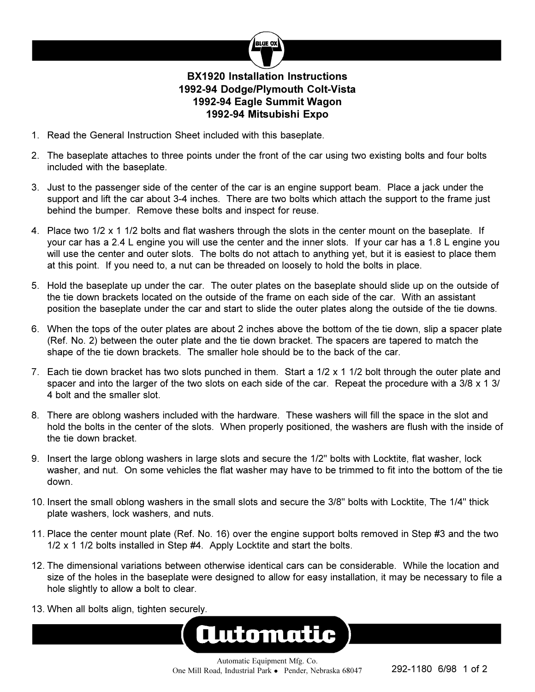

## **BX1920 Installation Instructions 1992-94 Dodge/Plymouth Colt-Vista 1992-94 Eagle Summit Wagon 1992-94 Mitsubishi Expo**

- 1. Read the General Instruction Sheet included with this baseplate.
- 2. The baseplate attaches to three points under the front of the car using two existing bolts and four bolts included with the baseplate.
- 3. Just to the passenger side of the center of the car is an engine support beam. Place a jack under the support and lift the car about 3-4 inches. There are two bolts which attach the support to the frame just behind the bumper. Remove these bolts and inspect for reuse.
- 4. Place two 1/2 x 1 1/2 bolts and flat washers through the slots in the center mount on the baseplate. If your car has a 2.4 L engine you will use the center and the inner slots. If your car has a 1.8 L engine you will use the center and outer slots. The bolts do not attach to anything yet, but it is easiest to place them at this point. If you need to, a nut can be threaded on loosely to hold the bolts in place.
- 5. Hold the baseplate up under the car. The outer plates on the baseplate should slide up on the outside of the tie down brackets located on the outside of the frame on each side of the car. With an assistant position the baseplate under the car and start to slide the outer plates along the outside of the tie downs.
- 6. When the tops of the outer plates are about 2 inches above the bottom of the tie down, slip a spacer plate (Ref. No. 2) between the outer plate and the tie down bracket. The spacers are tapered to match the shape of the tie down brackets. The smaller hole should be to the back of the car.
- 7. Each tie down bracket has two slots punched in them. Start a  $1/2 \times 1$  1/2 bolt through the outer plate and spacer and into the larger of the two slots on each side of the car. Repeat the procedure with a  $3/8 \times 1 \frac{3}{4}$ 4 bolt and the smaller slot.
- 8. There are oblong washers included with the hardware. These washers will fill the space in the slot and hold the bolts in the center of the slots. When properly positioned, the washers are flush with the inside of the tie down bracket.
- 9. Insert the large oblong washers in large slots and secure the 1/2" bolts with Locktite, flat washer, lock washer, and nut. On some vehicles the flat washer may have to be trimmed to fit into the bottom of the tie down.
- 10. Insert the small oblong washers in the small slots and secure the 3/8" bolts with Locktite, The 1/4" thick plate washers, lock washers, and nuts.
- 11. Place the center mount plate (Ref. No. 16) over the engine support bolts removed in Step #3 and the two 1/2 x 1 1/2 bolts installed in Step #4. Apply Locktite and start the bolts.
- 12. The dimensional variations between otherwise identical cars can be considerable. While the location and size of the holes in the baseplate were designed to allow for easy installation, it may be necessary to file a hole slightly to allow a bolt to clear.
- 13. When all bolts align, tighten securely.